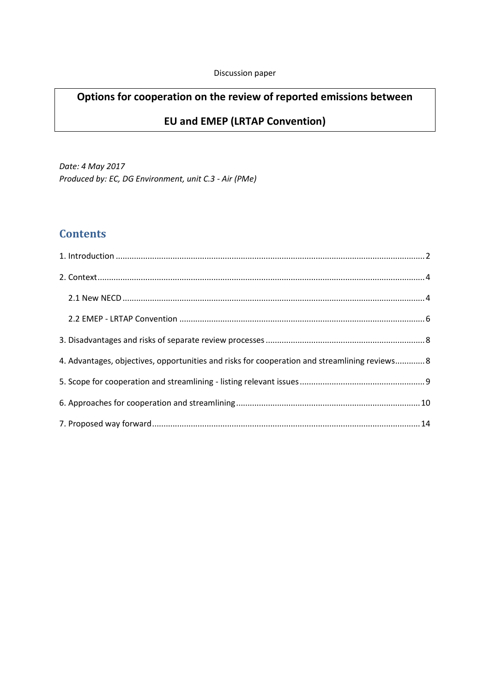# **Options for cooperation on the review of reported emissions between**

### **EU and EMEP (LRTAP Convention)**

*Date: 4 May 2017 Produced by: EC, DG Environment, unit C.3 - Air (PMe)*

# **Contents**

| 4. Advantages, objectives, opportunities and risks for cooperation and streamlining reviews 8 |  |
|-----------------------------------------------------------------------------------------------|--|
|                                                                                               |  |
|                                                                                               |  |
|                                                                                               |  |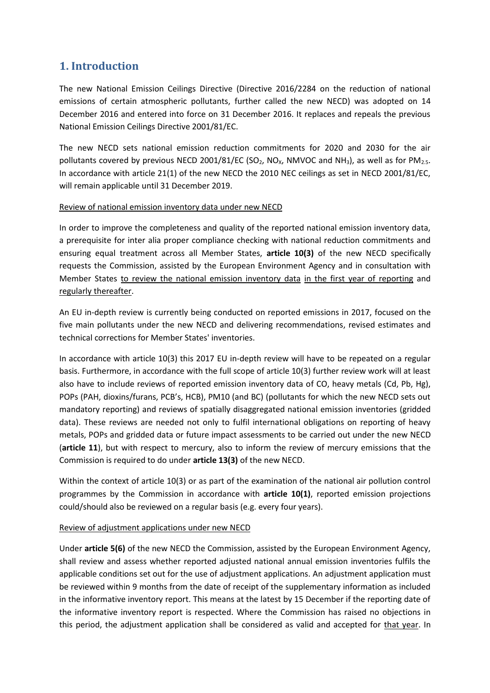### <span id="page-1-0"></span>**1. Introduction**

The new National Emission Ceilings Directive (Directive 2016/2284 on the reduction of national emissions of certain atmospheric pollutants, further called the new NECD) was adopted on 14 December 2016 and entered into force on 31 December 2016. It replaces and repeals the previous National Emission Ceilings Directive 2001/81/EC.

The new NECD sets national emission reduction commitments for 2020 and 2030 for the air pollutants covered by previous NECD 2001/81/EC (SO<sub>2</sub>, NO<sub>x</sub>, NMVOC and NH<sub>3</sub>), as well as for PM<sub>2.5</sub>. In accordance with article 21(1) of the new NECD the 2010 NEC ceilings as set in NECD 2001/81/EC, will remain applicable until 31 December 2019.

#### Review of national emission inventory data under new NECD

In order to improve the completeness and quality of the reported national emission inventory data, a prerequisite for inter alia proper compliance checking with national reduction commitments and ensuring equal treatment across all Member States, **article 10(3)** of the new NECD specifically requests the Commission, assisted by the European Environment Agency and in consultation with Member States to review the national emission inventory data in the first year of reporting and regularly thereafter.

An EU in-depth review is currently being conducted on reported emissions in 2017, focused on the five main pollutants under the new NECD and delivering recommendations, revised estimates and technical corrections for Member States' inventories.

In accordance with article 10(3) this 2017 EU in-depth review will have to be repeated on a regular basis. Furthermore, in accordance with the full scope of article 10(3) further review work will at least also have to include reviews of reported emission inventory data of CO, heavy metals (Cd, Pb, Hg), POPs (PAH, dioxins/furans, PCB's, HCB), PM10 (and BC) (pollutants for which the new NECD sets out mandatory reporting) and reviews of spatially disaggregated national emission inventories (gridded data). These reviews are needed not only to fulfil international obligations on reporting of heavy metals, POPs and gridded data or future impact assessments to be carried out under the new NECD (**article 11**), but with respect to mercury, also to inform the review of mercury emissions that the Commission is required to do under **article 13(3)** of the new NECD.

Within the context of article 10(3) or as part of the examination of the national air pollution control programmes by the Commission in accordance with **article 10(1)**, reported emission projections could/should also be reviewed on a regular basis (e.g. every four years).

#### Review of adjustment applications under new NECD

Under **article 5(6)** of the new NECD the Commission, assisted by the European Environment Agency, shall review and assess whether reported adjusted national annual emission inventories fulfils the applicable conditions set out for the use of adjustment applications. An adjustment application must be reviewed within 9 months from the date of receipt of the supplementary information as included in the informative inventory report. This means at the latest by 15 December if the reporting date of the informative inventory report is respected. Where the Commission has raised no objections in this period, the adjustment application shall be considered as valid and accepted for that year. In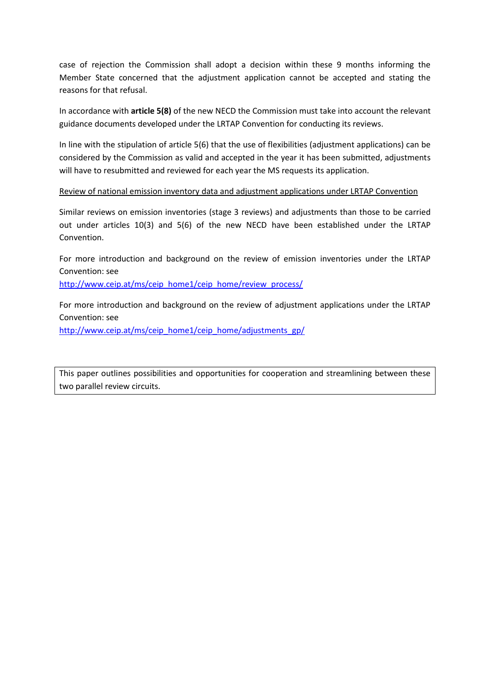case of rejection the Commission shall adopt a decision within these 9 months informing the Member State concerned that the adjustment application cannot be accepted and stating the reasons for that refusal.

In accordance with **article 5(8)** of the new NECD the Commission must take into account the relevant guidance documents developed under the LRTAP Convention for conducting its reviews.

In line with the stipulation of article 5(6) that the use of flexibilities (adjustment applications) can be considered by the Commission as valid and accepted in the year it has been submitted, adjustments will have to resubmitted and reviewed for each year the MS requests its application.

#### Review of national emission inventory data and adjustment applications under LRTAP Convention

Similar reviews on emission inventories (stage 3 reviews) and adjustments than those to be carried out under articles 10(3) and 5(6) of the new NECD have been established under the LRTAP Convention.

For more introduction and background on the review of emission inventories under the LRTAP Convention: see

[http://www.ceip.at/ms/ceip\\_home1/ceip\\_home/review\\_process/](http://www.ceip.at/ms/ceip_home1/ceip_home/review_process/)

For more introduction and background on the review of adjustment applications under the LRTAP Convention: see

[http://www.ceip.at/ms/ceip\\_home1/ceip\\_home/adjustments\\_gp/](http://www.ceip.at/ms/ceip_home1/ceip_home/adjustments_gp/)

This paper outlines possibilities and opportunities for cooperation and streamlining between these two parallel review circuits.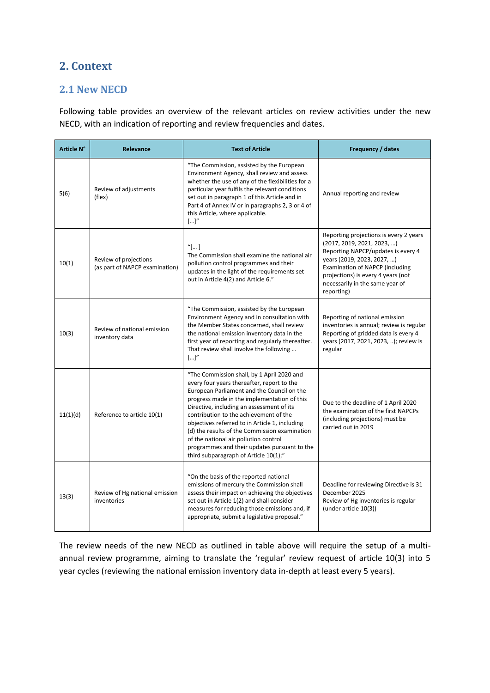# <span id="page-3-0"></span>**2. Context**

#### <span id="page-3-1"></span>**2.1 New NECD**

Following table provides an overview of the relevant articles on review activities under the new NECD, with an indication of reporting and review frequencies and dates.

| <b>Article N°</b> | Relevance                                               | <b>Text of Article</b>                                                                                                                                                                                                                                                                                                                                                                                                                                                                                            | Frequency / dates                                                                                                                                                                                                                                                  |
|-------------------|---------------------------------------------------------|-------------------------------------------------------------------------------------------------------------------------------------------------------------------------------------------------------------------------------------------------------------------------------------------------------------------------------------------------------------------------------------------------------------------------------------------------------------------------------------------------------------------|--------------------------------------------------------------------------------------------------------------------------------------------------------------------------------------------------------------------------------------------------------------------|
| 5(6)              | Review of adjustments<br>(flex)                         | "The Commission, assisted by the European<br>Environment Agency, shall review and assess<br>whether the use of any of the flexibilities for a<br>particular year fulfils the relevant conditions<br>set out in paragraph 1 of this Article and in<br>Part 4 of Annex IV or in paragraphs 2, 3 or 4 of<br>this Article, where applicable.<br>[]''                                                                                                                                                                  | Annual reporting and review                                                                                                                                                                                                                                        |
| 10(1)             | Review of projections<br>(as part of NAPCP examination) | "[]<br>The Commission shall examine the national air<br>pollution control programmes and their<br>updates in the light of the requirements set<br>out in Article 4(2) and Article 6."                                                                                                                                                                                                                                                                                                                             | Reporting projections is every 2 years<br>(2017, 2019, 2021, 2023, )<br>Reporting NAPCP/updates is every 4<br>years (2019, 2023, 2027, )<br>Examination of NAPCP (including<br>projections) is every 4 years (not<br>necessarily in the same year of<br>reporting) |
| 10(3)             | Review of national emission<br>inventory data           | "The Commission, assisted by the European<br>Environment Agency and in consultation with<br>the Member States concerned, shall review<br>the national emission inventory data in the<br>first year of reporting and regularly thereafter.<br>That review shall involve the following<br>[]''                                                                                                                                                                                                                      | Reporting of national emission<br>inventories is annual; review is regular<br>Reporting of gridded data is every 4<br>years (2017, 2021, 2023, ); review is<br>regular                                                                                             |
| 11(1)(d)          | Reference to article 10(1)                              | "The Commission shall, by 1 April 2020 and<br>every four years thereafter, report to the<br>European Parliament and the Council on the<br>progress made in the implementation of this<br>Directive, including an assessment of its<br>contribution to the achievement of the<br>objectives referred to in Article 1, including<br>(d) the results of the Commission examination<br>of the national air pollution control<br>programmes and their updates pursuant to the<br>third subparagraph of Article 10(1);" | Due to the deadline of 1 April 2020<br>the examination of the first NAPCPs<br>(including projections) must be<br>carried out in 2019                                                                                                                               |
| 13(3)             | Review of Hg national emission<br>inventories           | "On the basis of the reported national<br>emissions of mercury the Commission shall<br>assess their impact on achieving the objectives<br>set out in Article 1(2) and shall consider<br>measures for reducing those emissions and, if<br>appropriate, submit a legislative proposal."                                                                                                                                                                                                                             | Deadline for reviewing Directive is 31<br>December 2025<br>Review of Hg inventories is regular<br>(under article 10(3))                                                                                                                                            |

The review needs of the new NECD as outlined in table above will require the setup of a multiannual review programme, aiming to translate the 'regular' review request of article 10(3) into 5 year cycles (reviewing the national emission inventory data in-depth at least every 5 years).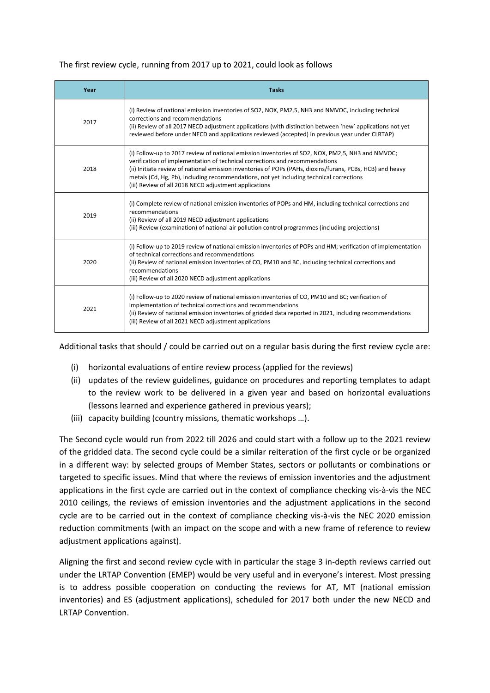#### The first review cycle, running from 2017 up to 2021, could look as follows

| Year | <b>Tasks</b>                                                                                                                                                                                                                                                                                                                                                                                                                                     |  |
|------|--------------------------------------------------------------------------------------------------------------------------------------------------------------------------------------------------------------------------------------------------------------------------------------------------------------------------------------------------------------------------------------------------------------------------------------------------|--|
| 2017 | (i) Review of national emission inventories of SO2, NOX, PM2,5, NH3 and NMVOC, including technical<br>corrections and recommendations<br>(ii) Review of all 2017 NECD adjustment applications (with distinction between 'new' applications not yet<br>reviewed before under NECD and applications reviewed (accepted) in previous year under CLRTAP)                                                                                             |  |
| 2018 | (i) Follow-up to 2017 review of national emission inventories of SO2, NOX, PM2,5, NH3 and NMVOC;<br>verification of implementation of technical corrections and recommendations<br>(ii) Initiate review of national emission inventories of POPs (PAHs, dioxins/furans, PCBs, HCB) and heavy<br>metals (Cd, Hg, Pb), including recommendations, not yet including technical corrections<br>(iii) Review of all 2018 NECD adjustment applications |  |
| 2019 | (i) Complete review of national emission inventories of POPs and HM, including technical corrections and<br>recommendations<br>(ii) Review of all 2019 NECD adjustment applications<br>(iii) Review (examination) of national air pollution control programmes (including projections)                                                                                                                                                           |  |
| 2020 | (i) Follow-up to 2019 review of national emission inventories of POPs and HM; verification of implementation<br>of technical corrections and recommendations<br>(ii) Review of national emission inventories of CO, PM10 and BC, including technical corrections and<br>recommendations<br>(iii) Review of all 2020 NECD adjustment applications                                                                                                 |  |
| 2021 | (i) Follow-up to 2020 review of national emission inventories of CO, PM10 and BC; verification of<br>implementation of technical corrections and recommendations<br>(ii) Review of national emission inventories of gridded data reported in 2021, including recommendations<br>(iii) Review of all 2021 NECD adjustment applications                                                                                                            |  |

Additional tasks that should / could be carried out on a regular basis during the first review cycle are:

- (i) horizontal evaluations of entire review process (applied for the reviews)
- (ii) updates of the review guidelines, guidance on procedures and reporting templates to adapt to the review work to be delivered in a given year and based on horizontal evaluations (lessons learned and experience gathered in previous years);
- (iii) capacity building (country missions, thematic workshops …).

The Second cycle would run from 2022 till 2026 and could start with a follow up to the 2021 review of the gridded data. The second cycle could be a similar reiteration of the first cycle or be organized in a different way: by selected groups of Member States, sectors or pollutants or combinations or targeted to specific issues. Mind that where the reviews of emission inventories and the adjustment applications in the first cycle are carried out in the context of compliance checking vis-à-vis the NEC 2010 ceilings, the reviews of emission inventories and the adjustment applications in the second cycle are to be carried out in the context of compliance checking vis-à-vis the NEC 2020 emission reduction commitments (with an impact on the scope and with a new frame of reference to review adjustment applications against).

Aligning the first and second review cycle with in particular the stage 3 in-depth reviews carried out under the LRTAP Convention (EMEP) would be very useful and in everyone's interest. Most pressing is to address possible cooperation on conducting the reviews for AT, MT (national emission inventories) and ES (adjustment applications), scheduled for 2017 both under the new NECD and LRTAP Convention.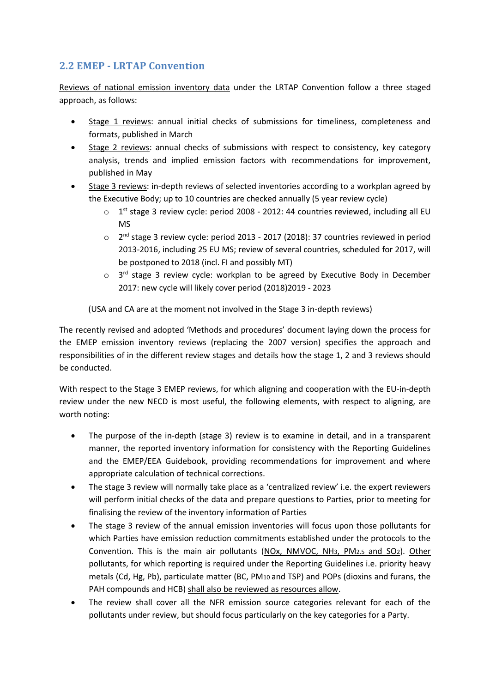### <span id="page-5-0"></span>**2.2 EMEP - LRTAP Convention**

Reviews of national emission inventory data under the LRTAP Convention follow a three staged approach, as follows:

- Stage 1 reviews: annual initial checks of submissions for timeliness, completeness and formats, published in March
- Stage 2 reviews: annual checks of submissions with respect to consistency, key category analysis, trends and implied emission factors with recommendations for improvement, published in May
- Stage 3 reviews: in-depth reviews of selected inventories according to a workplan agreed by the Executive Body; up to 10 countries are checked annually (5 year review cycle)
	- $\circ$  1<sup>st</sup> stage 3 review cycle: period 2008 2012: 44 countries reviewed, including all EU MS
	- $\circ$  2<sup>nd</sup> stage 3 review cycle: period 2013 2017 (2018): 37 countries reviewed in period 2013-2016, including 25 EU MS; review of several countries, scheduled for 2017, will be postponed to 2018 (incl. FI and possibly MT)
	- $\circ$  3<sup>rd</sup> stage 3 review cycle: workplan to be agreed by Executive Body in December 2017: new cycle will likely cover period (2018)2019 - 2023

(USA and CA are at the moment not involved in the Stage 3 in-depth reviews)

The recently revised and adopted 'Methods and procedures' document laying down the process for the EMEP emission inventory reviews (replacing the 2007 version) specifies the approach and responsibilities of in the different review stages and details how the stage 1, 2 and 3 reviews should be conducted.

With respect to the Stage 3 EMEP reviews, for which aligning and cooperation with the EU-in-depth review under the new NECD is most useful, the following elements, with respect to aligning, are worth noting:

- The purpose of the in-depth (stage 3) review is to examine in detail, and in a transparent manner, the reported inventory information for consistency with the Reporting Guidelines and the EMEP/EEA Guidebook, providing recommendations for improvement and where appropriate calculation of technical corrections.
- The stage 3 review will normally take place as a 'centralized review' i.e. the expert reviewers will perform initial checks of the data and prepare questions to Parties, prior to meeting for finalising the review of the inventory information of Parties
- The stage 3 review of the annual emission inventories will focus upon those pollutants for which Parties have emission reduction commitments established under the protocols to the Convention. This is the main air pollutants (NOx, NMVOC, NH3, PM2.5 and SO2). Other pollutants, for which reporting is required under the Reporting Guidelines i.e. priority heavy metals (Cd, Hg, Pb), particulate matter (BC, PM10 and TSP) and POPs (dioxins and furans, the PAH compounds and HCB) shall also be reviewed as resources allow.
- The review shall cover all the NFR emission source categories relevant for each of the pollutants under review, but should focus particularly on the key categories for a Party.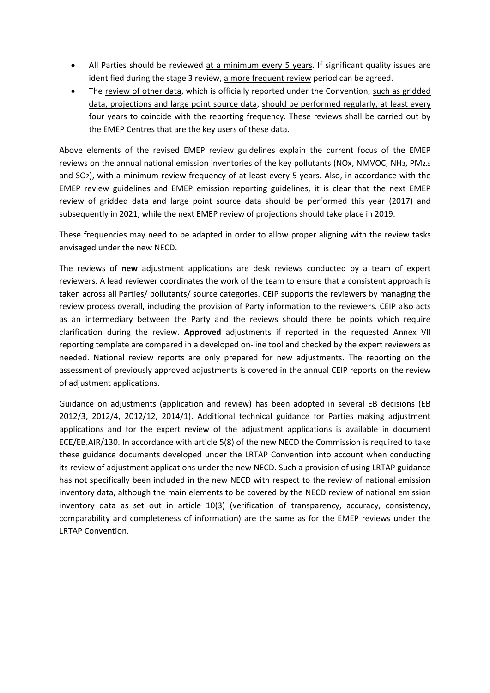- All Parties should be reviewed at a minimum every 5 years. If significant quality issues are identified during the stage 3 review, a more frequent review period can be agreed.
- The review of other data, which is officially reported under the Convention, such as gridded data, projections and large point source data, should be performed regularly, at least every four years to coincide with the reporting frequency. These reviews shall be carried out by the EMEP Centres that are the key users of these data.

Above elements of the revised EMEP review guidelines explain the current focus of the EMEP reviews on the annual national emission inventories of the key pollutants (NOx, NMVOC, NH3, PM2.5 and SO2), with a minimum review frequency of at least every 5 years. Also, in accordance with the EMEP review guidelines and EMEP emission reporting guidelines, it is clear that the next EMEP review of gridded data and large point source data should be performed this year (2017) and subsequently in 2021, while the next EMEP review of projections should take place in 2019.

These frequencies may need to be adapted in order to allow proper aligning with the review tasks envisaged under the new NECD.

The reviews of **new** adjustment applications are desk reviews conducted by a team of expert reviewers. A lead reviewer coordinates the work of the team to ensure that a consistent approach is taken across all Parties/ pollutants/ source categories. CEIP supports the reviewers by managing the review process overall, including the provision of Party information to the reviewers. CEIP also acts as an intermediary between the Party and the reviews should there be points which require clarification during the review. **Approved** adjustments if reported in the requested Annex VII reporting template are compared in a developed on-line tool and checked by the expert reviewers as needed. National review reports are only prepared for new adjustments. The reporting on the assessment of previously approved adjustments is covered in the annual CEIP reports on the review of adjustment applications.

Guidance on adjustments (application and review) has been adopted in several EB decisions (EB 2012/3, 2012/4, 2012/12, 2014/1). Additional technical guidance for Parties making adjustment applications and for the expert review of the adjustment applications is available in document ECE/EB.AIR/130. In accordance with article 5(8) of the new NECD the Commission is required to take these guidance documents developed under the LRTAP Convention into account when conducting its review of adjustment applications under the new NECD. Such a provision of using LRTAP guidance has not specifically been included in the new NECD with respect to the review of national emission inventory data, although the main elements to be covered by the NECD review of national emission inventory data as set out in article 10(3) (verification of transparency, accuracy, consistency, comparability and completeness of information) are the same as for the EMEP reviews under the LRTAP Convention.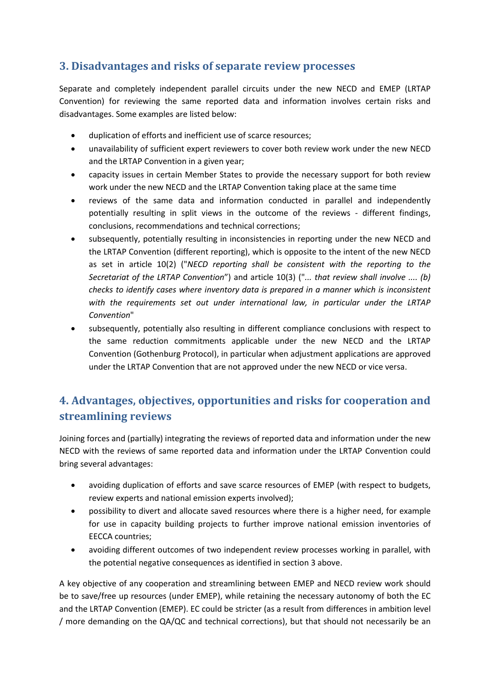### <span id="page-7-0"></span>**3. Disadvantages and risks of separate review processes**

Separate and completely independent parallel circuits under the new NECD and EMEP (LRTAP Convention) for reviewing the same reported data and information involves certain risks and disadvantages. Some examples are listed below:

- duplication of efforts and inefficient use of scarce resources;
- unavailability of sufficient expert reviewers to cover both review work under the new NECD and the LRTAP Convention in a given year;
- capacity issues in certain Member States to provide the necessary support for both review work under the new NECD and the LRTAP Convention taking place at the same time
- reviews of the same data and information conducted in parallel and independently potentially resulting in split views in the outcome of the reviews - different findings, conclusions, recommendations and technical corrections;
- subsequently, potentially resulting in inconsistencies in reporting under the new NECD and the LRTAP Convention (different reporting), which is opposite to the intent of the new NECD as set in article 10(2) ("*NECD reporting shall be consistent with the reporting to the Secretariat of the LRTAP Convention*") and article 10(3) ("*... that review shall involve .... (b) checks to identify cases where inventory data is prepared in a manner which is inconsistent with the requirements set out under international law, in particular under the LRTAP Convention*"
- subsequently, potentially also resulting in different compliance conclusions with respect to the same reduction commitments applicable under the new NECD and the LRTAP Convention (Gothenburg Protocol), in particular when adjustment applications are approved under the LRTAP Convention that are not approved under the new NECD or vice versa.

# <span id="page-7-1"></span>**4. Advantages, objectives, opportunities and risks for cooperation and streamlining reviews**

Joining forces and (partially) integrating the reviews of reported data and information under the new NECD with the reviews of same reported data and information under the LRTAP Convention could bring several advantages:

- avoiding duplication of efforts and save scarce resources of EMEP (with respect to budgets, review experts and national emission experts involved);
- possibility to divert and allocate saved resources where there is a higher need, for example for use in capacity building projects to further improve national emission inventories of EECCA countries;
- avoiding different outcomes of two independent review processes working in parallel, with the potential negative consequences as identified in section 3 above.

A key objective of any cooperation and streamlining between EMEP and NECD review work should be to save/free up resources (under EMEP), while retaining the necessary autonomy of both the EC and the LRTAP Convention (EMEP). EC could be stricter (as a result from differences in ambition level / more demanding on the QA/QC and technical corrections), but that should not necessarily be an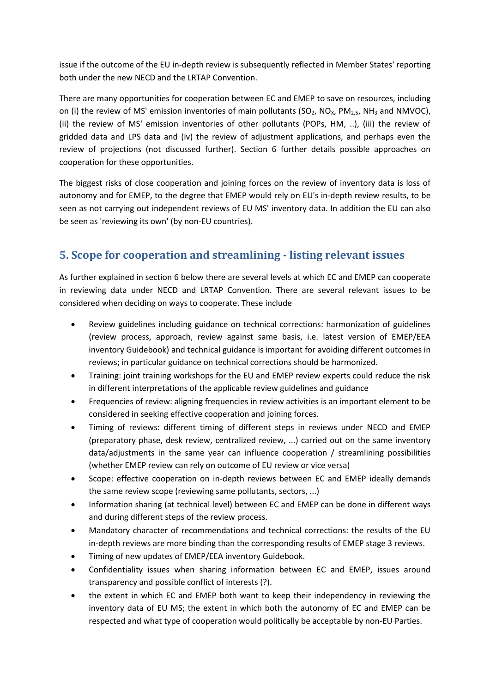issue if the outcome of the EU in-depth review is subsequently reflected in Member States' reporting both under the new NECD and the LRTAP Convention.

There are many opportunities for cooperation between EC and EMEP to save on resources, including on (i) the review of MS' emission inventories of main pollutants (SO<sub>2</sub>, NO<sub>x</sub>, PM<sub>2,5</sub>, NH<sub>3</sub> and NMVOC), (ii) the review of MS' emission inventories of other pollutants (POPs, HM, ..), (iii) the review of gridded data and LPS data and (iv) the review of adjustment applications, and perhaps even the review of projections (not discussed further). Section 6 further details possible approaches on cooperation for these opportunities.

The biggest risks of close cooperation and joining forces on the review of inventory data is loss of autonomy and for EMEP, to the degree that EMEP would rely on EU's in-depth review results, to be seen as not carrying out independent reviews of EU MS' inventory data. In addition the EU can also be seen as 'reviewing its own' (by non-EU countries).

## <span id="page-8-0"></span>**5. Scope for cooperation and streamlining - listing relevant issues**

As further explained in section 6 below there are several levels at which EC and EMEP can cooperate in reviewing data under NECD and LRTAP Convention. There are several relevant issues to be considered when deciding on ways to cooperate. These include

- Review guidelines including guidance on technical corrections: harmonization of guidelines (review process, approach, review against same basis, i.e. latest version of EMEP/EEA inventory Guidebook) and technical guidance is important for avoiding different outcomes in reviews; in particular guidance on technical corrections should be harmonized.
- Training: joint training workshops for the EU and EMEP review experts could reduce the risk in different interpretations of the applicable review guidelines and guidance
- Frequencies of review: aligning frequencies in review activities is an important element to be considered in seeking effective cooperation and joining forces.
- Timing of reviews: different timing of different steps in reviews under NECD and EMEP (preparatory phase, desk review, centralized review, ...) carried out on the same inventory data/adjustments in the same year can influence cooperation / streamlining possibilities (whether EMEP review can rely on outcome of EU review or vice versa)
- Scope: effective cooperation on in-depth reviews between EC and EMEP ideally demands the same review scope (reviewing same pollutants, sectors, ...)
- Information sharing (at technical level) between EC and EMEP can be done in different ways and during different steps of the review process.
- Mandatory character of recommendations and technical corrections: the results of the EU in-depth reviews are more binding than the corresponding results of EMEP stage 3 reviews.
- Timing of new updates of EMEP/EEA inventory Guidebook.
- Confidentiality issues when sharing information between EC and EMEP, issues around transparency and possible conflict of interests (?).
- the extent in which EC and EMEP both want to keep their independency in reviewing the inventory data of EU MS; the extent in which both the autonomy of EC and EMEP can be respected and what type of cooperation would politically be acceptable by non-EU Parties.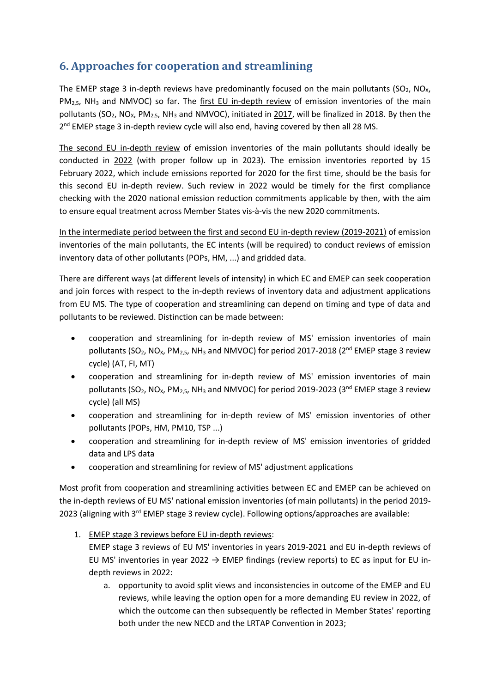## <span id="page-9-0"></span>**6. Approaches for cooperation and streamlining**

The EMEP stage 3 in-depth reviews have predominantly focused on the main pollutants (SO<sub>2</sub>, NO<sub>X</sub>, PM<sub>2,5</sub>, NH<sub>3</sub> and NMVOC) so far. The first EU in-depth review of emission inventories of the main pollutants (SO<sub>2</sub>, NO<sub>x</sub>, PM<sub>2.5</sub>, NH<sub>3</sub> and NMVOC), initiated in 2017, will be finalized in 2018. By then the 2<sup>nd</sup> EMEP stage 3 in-depth review cycle will also end, having covered by then all 28 MS.

The second EU in-depth review of emission inventories of the main pollutants should ideally be conducted in 2022 (with proper follow up in 2023). The emission inventories reported by 15 February 2022, which include emissions reported for 2020 for the first time, should be the basis for this second EU in-depth review. Such review in 2022 would be timely for the first compliance checking with the 2020 national emission reduction commitments applicable by then, with the aim to ensure equal treatment across Member States vis-à-vis the new 2020 commitments.

In the intermediate period between the first and second EU in-depth review (2019-2021) of emission inventories of the main pollutants, the EC intents (will be required) to conduct reviews of emission inventory data of other pollutants (POPs, HM, ...) and gridded data.

There are different ways (at different levels of intensity) in which EC and EMEP can seek cooperation and join forces with respect to the in-depth reviews of inventory data and adjustment applications from EU MS. The type of cooperation and streamlining can depend on timing and type of data and pollutants to be reviewed. Distinction can be made between:

- cooperation and streamlining for in-depth review of MS' emission inventories of main pollutants (SO<sub>2</sub>, NO<sub>x</sub>, PM<sub>2,5</sub>, NH<sub>3</sub> and NMVOC) for period 2017-2018 (2<sup>nd</sup> EMEP stage 3 review cycle) (AT, FI, MT)
- cooperation and streamlining for in-depth review of MS' emission inventories of main pollutants (SO<sub>2</sub>, NO<sub>x</sub>, PM<sub>2,5</sub>, NH<sub>3</sub> and NMVOC) for period 2019-2023 (3<sup>nd</sup> EMEP stage 3 review cycle) (all MS)
- cooperation and streamlining for in-depth review of MS' emission inventories of other pollutants (POPs, HM, PM10, TSP ...)
- cooperation and streamlining for in-depth review of MS' emission inventories of gridded data and LPS data
- cooperation and streamlining for review of MS' adjustment applications

Most profit from cooperation and streamlining activities between EC and EMEP can be achieved on the in-depth reviews of EU MS' national emission inventories (of main pollutants) in the period 2019- 2023 (aligning with 3rd EMEP stage 3 review cycle). Following options/approaches are available:

1. EMEP stage 3 reviews before EU in-depth reviews:

EMEP stage 3 reviews of EU MS' inventories in years 2019-2021 and EU in-depth reviews of EU MS' inventories in year 2022  $\rightarrow$  EMEP findings (review reports) to EC as input for EU indepth reviews in 2022:

a. opportunity to avoid split views and inconsistencies in outcome of the EMEP and EU reviews, while leaving the option open for a more demanding EU review in 2022, of which the outcome can then subsequently be reflected in Member States' reporting both under the new NECD and the LRTAP Convention in 2023;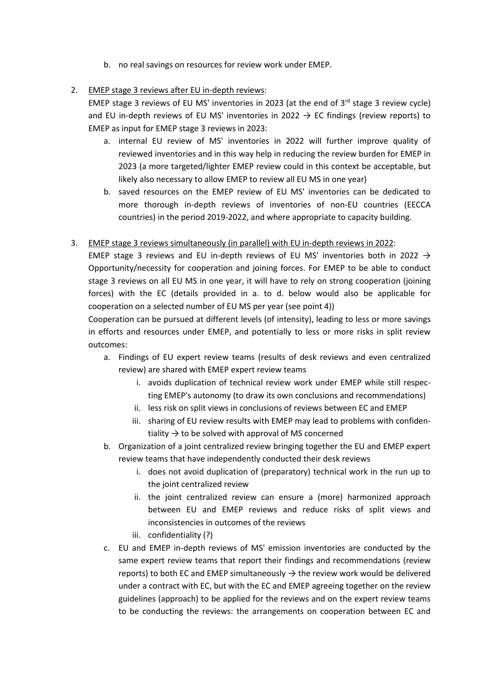- b. no real savings on resources for review work under EMEP.
- 2. EMEP stage 3 reviews after EU in-depth reviews:

EMEP stage 3 reviews of EU MS' inventories in 2023 (at the end of  $3^{rd}$  stage 3 review cycle) and EU in-depth reviews of EU MS' inventories in 2022  $\rightarrow$  EC findings (review reports) to EMEP as input for EMEP stage 3 reviews in 2023:

- a. internal EU review of MS' inventories in 2022 will further improve quality of reviewed inventories and in this way help in reducing the review burden for EMEP in 2023 (a more targeted/lighter EMEP review could in this context be acceptable, but likely also necessary to allow EMEP to review all EU MS in one year)
- b. saved resources on the EMEP review of EU MS' inventories can be dedicated to more thorough in-depth reviews of inventories of non-EU countries (EECCA countries) in the period 2019-2022, and where appropriate to capacity building.

#### 3. EMEP stage 3 reviews simultaneously (in parallel) with EU in-depth reviews in 2022:

EMEP stage 3 reviews and EU in-depth reviews of EU MS' inventories both in 2022  $\rightarrow$ Opportunity/necessity for cooperation and joining forces. For EMEP to be able to conduct stage 3 reviews on all EU MS in one year, it will have to rely on strong cooperation (joining forces) with the EC (details provided in a. to d. below would also be applicable for cooperation on a selected number of EU MS per year (see point 4))

Cooperation can be pursued at different levels (of intensity), leading to less or more savings in efforts and resources under EMEP, and potentially to less or more risks in split review outcomes:

- a. Findings of EU expert review teams (results of desk reviews and even centralized review) are shared with EMEP expert review teams
	- i. avoids duplication of technical review work under EMEP while still respecting EMEP's autonomy (to draw its own conclusions and recommendations)
	- ii. less risk on split views in conclusions of reviews between EC and EMEP
	- iii. sharing of EU review results with EMEP may lead to problems with confidentiality  $\rightarrow$  to be solved with approval of MS concerned
- b. Organization of a joint centralized review bringing together the EU and EMEP expert review teams that have independently conducted their desk reviews
	- i. does not avoid duplication of (preparatory) technical work in the run up to the joint centralized review
	- ii. the joint centralized review can ensure a (more) harmonized approach between EU and EMEP reviews and reduce risks of split views and inconsistencies in outcomes of the reviews
	- iii. confidentiality (?)
- c. EU and EMEP in-depth reviews of MS' emission inventories are conducted by the same expert review teams that report their findings and recommendations (review reports) to both EC and EMEP simultaneously  $\rightarrow$  the review work would be delivered under a contract with EC, but with the EC and EMEP agreeing together on the review guidelines (approach) to be applied for the reviews and on the expert review teams to be conducting the reviews: the arrangements on cooperation between EC and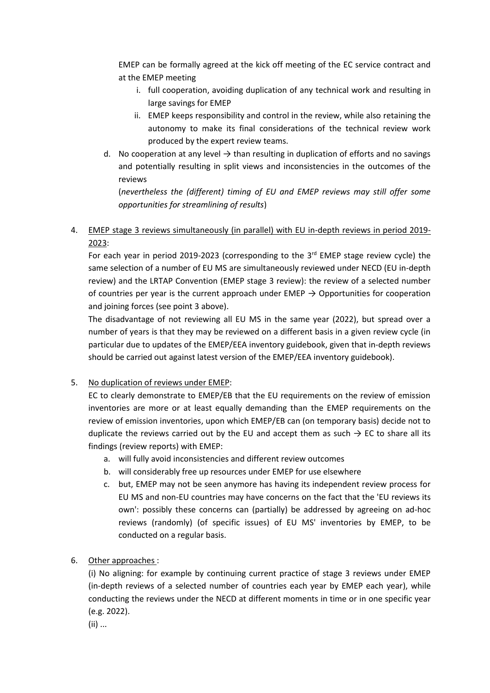EMEP can be formally agreed at the kick off meeting of the EC service contract and at the EMEP meeting

- i. full cooperation, avoiding duplication of any technical work and resulting in large savings for EMEP
- ii. EMEP keeps responsibility and control in the review, while also retaining the autonomy to make its final considerations of the technical review work produced by the expert review teams.
- d. No cooperation at any level  $\rightarrow$  than resulting in duplication of efforts and no savings and potentially resulting in split views and inconsistencies in the outcomes of the reviews

(*nevertheless the (different) timing of EU and EMEP reviews may still offer some opportunities for streamlining of results*)

#### 4. EMEP stage 3 reviews simultaneously (in parallel) with EU in-depth reviews in period 2019-2023:

For each year in period 2019-2023 (corresponding to the 3<sup>rd</sup> EMEP stage review cycle) the same selection of a number of EU MS are simultaneously reviewed under NECD (EU in-depth review) and the LRTAP Convention (EMEP stage 3 review): the review of a selected number of countries per year is the current approach under  $EMEP \rightarrow Opport$  opportunities for cooperation and joining forces (see point 3 above).

The disadvantage of not reviewing all EU MS in the same year (2022), but spread over a number of years is that they may be reviewed on a different basis in a given review cycle (in particular due to updates of the EMEP/EEA inventory guidebook, given that in-depth reviews should be carried out against latest version of the EMEP/EEA inventory guidebook).

#### 5. No duplication of reviews under EMEP:

EC to clearly demonstrate to EMEP/EB that the EU requirements on the review of emission inventories are more or at least equally demanding than the EMEP requirements on the review of emission inventories, upon which EMEP/EB can (on temporary basis) decide not to duplicate the reviews carried out by the EU and accept them as such  $\rightarrow$  EC to share all its findings (review reports) with EMEP:

- a. will fully avoid inconsistencies and different review outcomes
- b. will considerably free up resources under EMEP for use elsewhere
- c. but, EMEP may not be seen anymore has having its independent review process for EU MS and non-EU countries may have concerns on the fact that the 'EU reviews its own': possibly these concerns can (partially) be addressed by agreeing on ad-hoc reviews (randomly) (of specific issues) of EU MS' inventories by EMEP, to be conducted on a regular basis.

#### 6. Other approaches :

(i) No aligning: for example by continuing current practice of stage 3 reviews under EMEP (in-depth reviews of a selected number of countries each year by EMEP each year), while conducting the reviews under the NECD at different moments in time or in one specific year (e.g. 2022).

(ii) ...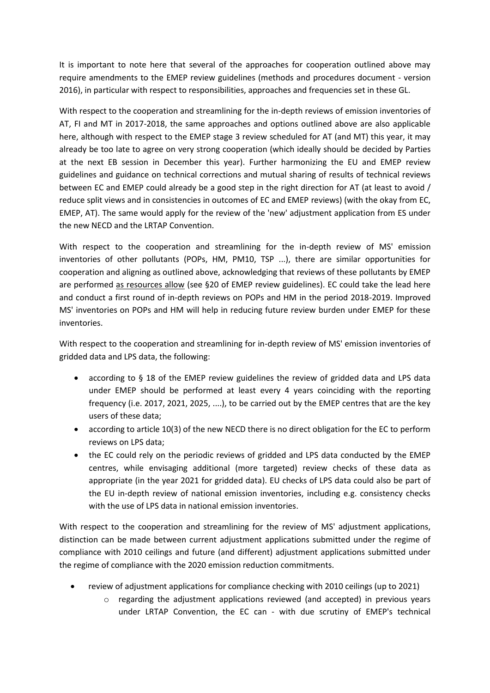It is important to note here that several of the approaches for cooperation outlined above may require amendments to the EMEP review guidelines (methods and procedures document - version 2016), in particular with respect to responsibilities, approaches and frequencies set in these GL.

With respect to the cooperation and streamlining for the in-depth reviews of emission inventories of AT, FI and MT in 2017-2018, the same approaches and options outlined above are also applicable here, although with respect to the EMEP stage 3 review scheduled for AT (and MT) this year, it may already be too late to agree on very strong cooperation (which ideally should be decided by Parties at the next EB session in December this year). Further harmonizing the EU and EMEP review guidelines and guidance on technical corrections and mutual sharing of results of technical reviews between EC and EMEP could already be a good step in the right direction for AT (at least to avoid / reduce split views and in consistencies in outcomes of EC and EMEP reviews) (with the okay from EC, EMEP, AT). The same would apply for the review of the 'new' adjustment application from ES under the new NECD and the LRTAP Convention.

With respect to the cooperation and streamlining for the in-depth review of MS' emission inventories of other pollutants (POPs, HM, PM10, TSP ...), there are similar opportunities for cooperation and aligning as outlined above, acknowledging that reviews of these pollutants by EMEP are performed as resources allow (see §20 of EMEP review guidelines). EC could take the lead here and conduct a first round of in-depth reviews on POPs and HM in the period 2018-2019. Improved MS' inventories on POPs and HM will help in reducing future review burden under EMEP for these inventories.

With respect to the cooperation and streamlining for in-depth review of MS' emission inventories of gridded data and LPS data, the following:

- according to § 18 of the EMEP review guidelines the review of gridded data and LPS data under EMEP should be performed at least every 4 years coinciding with the reporting frequency (i.e. 2017, 2021, 2025, ....), to be carried out by the EMEP centres that are the key users of these data;
- according to article 10(3) of the new NECD there is no direct obligation for the EC to perform reviews on LPS data;
- the EC could rely on the periodic reviews of gridded and LPS data conducted by the EMEP centres, while envisaging additional (more targeted) review checks of these data as appropriate (in the year 2021 for gridded data). EU checks of LPS data could also be part of the EU in-depth review of national emission inventories, including e.g. consistency checks with the use of LPS data in national emission inventories.

With respect to the cooperation and streamlining for the review of MS' adjustment applications, distinction can be made between current adjustment applications submitted under the regime of compliance with 2010 ceilings and future (and different) adjustment applications submitted under the regime of compliance with the 2020 emission reduction commitments.

- review of adjustment applications for compliance checking with 2010 ceilings (up to 2021)
	- $\circ$  regarding the adjustment applications reviewed (and accepted) in previous years under LRTAP Convention, the EC can - with due scrutiny of EMEP's technical